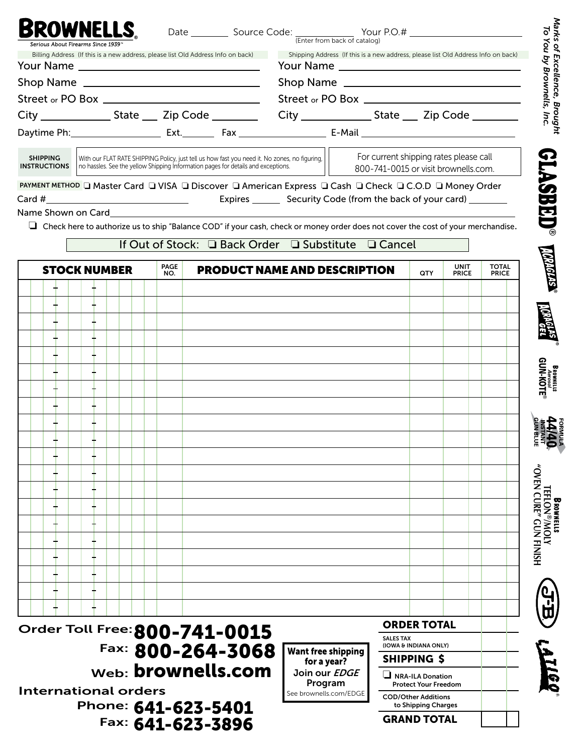|                                        | Billing Address (If this is a new address, please list Old Address Info on back)                                                                                                   | Shipping Address (If this is a new address, please list Old Address Info on back)                                                       |                                                                                |              |
|----------------------------------------|------------------------------------------------------------------------------------------------------------------------------------------------------------------------------------|-----------------------------------------------------------------------------------------------------------------------------------------|--------------------------------------------------------------------------------|--------------|
|                                        |                                                                                                                                                                                    |                                                                                                                                         |                                                                                |              |
|                                        |                                                                                                                                                                                    |                                                                                                                                         |                                                                                |              |
|                                        |                                                                                                                                                                                    |                                                                                                                                         |                                                                                |              |
|                                        |                                                                                                                                                                                    | City _________________State _____ Zip Code ______________City _______________State _____ Zip Code ___________                           |                                                                                |              |
|                                        |                                                                                                                                                                                    |                                                                                                                                         |                                                                                |              |
| <b>SHIPPING</b><br><b>INSTRUCTIONS</b> | With our FLAT RATE SHIPPING Policy, just tell us how fast you need it. No zones, no figuring,<br>no hassles. See the yellow Shipping Information pages for details and exceptions. |                                                                                                                                         | For current shipping rates please call<br>800-741-0015 or visit brownells.com. |              |
|                                        |                                                                                                                                                                                    | PAYMENT METHOD □ Master Card □ VISA □ Discover □ American Express □ Cash □ Check □ C.O.D □ Money Order                                  |                                                                                |              |
|                                        | Name Shown on Card and the control of the state of the control of the control of the control of the control of                                                                     | Expires __________ Security Code (from the back of your card) _________                                                                 |                                                                                |              |
|                                        |                                                                                                                                                                                    | $\Box$ Check here to authorize us to ship "Balance COD" if your cash, check or money order does not cover the cost of your merchandise. |                                                                                |              |
|                                        |                                                                                                                                                                                    | If Out of Stock: □ Back Order □ Substitute □ Cancel                                                                                     |                                                                                |              |
|                                        | PAGE                                                                                                                                                                               |                                                                                                                                         | <b>UNIT</b>                                                                    | <b>TOTAL</b> |
| <b>STOCK NUMBER</b>                    | NO.                                                                                                                                                                                | <b>PRODUCT NAME AND DESCRIPTION</b>                                                                                                     | <b>QTY</b><br><b>PRICE</b>                                                     | <b>PRICE</b> |
|                                        |                                                                                                                                                                                    |                                                                                                                                         |                                                                                |              |
|                                        |                                                                                                                                                                                    |                                                                                                                                         |                                                                                |              |
|                                        |                                                                                                                                                                                    |                                                                                                                                         |                                                                                |              |
|                                        |                                                                                                                                                                                    |                                                                                                                                         |                                                                                |              |
|                                        |                                                                                                                                                                                    |                                                                                                                                         |                                                                                |              |
|                                        |                                                                                                                                                                                    |                                                                                                                                         |                                                                                |              |
|                                        |                                                                                                                                                                                    |                                                                                                                                         |                                                                                |              |
|                                        |                                                                                                                                                                                    |                                                                                                                                         |                                                                                |              |
|                                        |                                                                                                                                                                                    |                                                                                                                                         |                                                                                |              |
|                                        |                                                                                                                                                                                    |                                                                                                                                         |                                                                                |              |
|                                        |                                                                                                                                                                                    |                                                                                                                                         |                                                                                |              |
|                                        |                                                                                                                                                                                    |                                                                                                                                         |                                                                                |              |
|                                        |                                                                                                                                                                                    |                                                                                                                                         |                                                                                |              |
|                                        |                                                                                                                                                                                    |                                                                                                                                         |                                                                                |              |
|                                        |                                                                                                                                                                                    |                                                                                                                                         |                                                                                |              |
|                                        |                                                                                                                                                                                    |                                                                                                                                         |                                                                                |              |
|                                        |                                                                                                                                                                                    |                                                                                                                                         |                                                                                |              |
|                                        |                                                                                                                                                                                    |                                                                                                                                         |                                                                                |              |
|                                        |                                                                                                                                                                                    |                                                                                                                                         |                                                                                |              |
|                                        |                                                                                                                                                                                    |                                                                                                                                         |                                                                                |              |
|                                        |                                                                                                                                                                                    |                                                                                                                                         |                                                                                |              |
|                                        |                                                                                                                                                                                    | <b>SALES TAX</b>                                                                                                                        | <b>ORDER TOTAL</b>                                                             |              |
|                                        | Order Toll Free: 800-741-0015<br>Fax: 800-264-3068                                                                                                                                 | <b>Want free shipping</b><br>for a year?                                                                                                | (IOWA & INDIANA ONLY)<br><b>SHIPPING \$</b>                                    |              |

International orders Phone: 641-623-5401 Fax: 641-623-3896

Program See brownells.com/EDGE

 Protect Your Freedom COD/Other Additions

to Shipping Charges

GRAND TOTAL